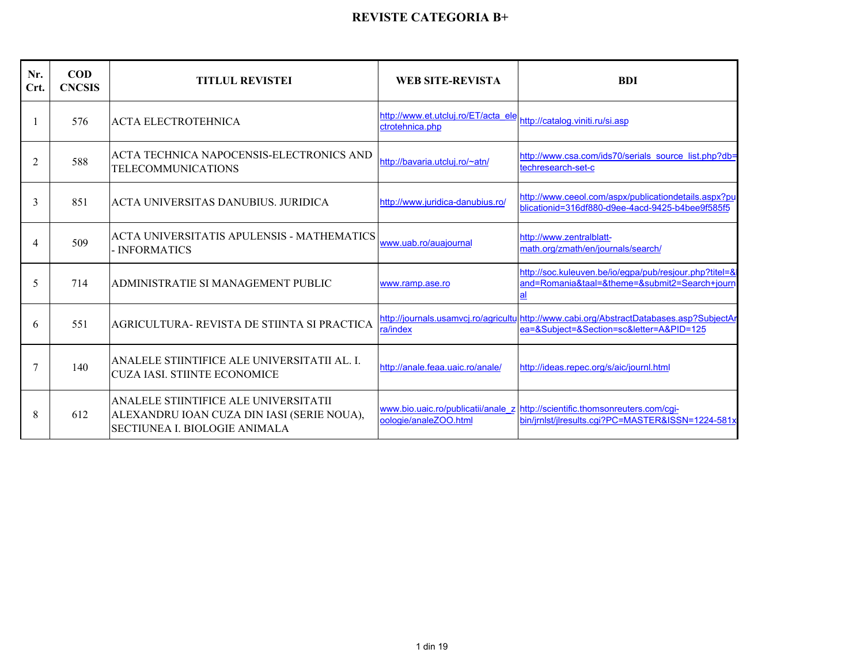| Nr.<br>Crt. | $\bf{COD}$<br><b>CNCSIS</b> | <b>TITLUL REVISTEI</b>                                                                                              | <b>WEB SITE-REVISTA</b>                                | <b>BDI</b>                                                                                                                           |
|-------------|-----------------------------|---------------------------------------------------------------------------------------------------------------------|--------------------------------------------------------|--------------------------------------------------------------------------------------------------------------------------------------|
|             | 576                         | <b>ACTA ELECTROTEHNICA</b>                                                                                          | http://www.et.utcluj.ro/ET/acta ele<br>ctrotehnica.php | http://catalog.viniti.ru/si.asp                                                                                                      |
| 2           | 588                         | ACTA TECHNICA NAPOCENSIS-ELECTRONICS AND<br><b>TELECOMMUNICATIONS</b>                                               | http://bayaria.utclui.ro/~atn/                         | http://www.csa.com/ids70/serials_source_list.php?db=<br>techresearch-set-c                                                           |
| 3           | 851                         | ACTA UNIVERSITAS DANUBIUS. JURIDICA                                                                                 | http://www.juridica-danubius.ro/                       | http://www.ceeol.com/aspx/publicationdetails.aspx?pu<br>blicationid=316df880-d9ee-4acd-9425-b4bee9f585f5                             |
| 4           | 509                         | ACTA UNIVERSITATIS APULENSIS - MATHEMATICS<br>- INFORMATICS                                                         | www.uab.ro/auajournal                                  | http://www.zentralblatt-<br>math.org/zmath/en/journals/search/                                                                       |
| 5           | 714                         | ADMINISTRATIE SI MANAGEMENT PUBLIC                                                                                  | www.ramp.ase.ro                                        | http://soc.kuleuven.be/io/egpa/pub/resiour.php?titel=&<br>and=Romania&taal=&theme=&submit2=Search+journ<br>al                        |
| 6           | 551                         | AGRICULTURA- REVISTA DE STIINTA SI PRACTICA                                                                         | ra/index                                               | http://journals.usamycj.ro/agricultulhttp://www.cabi.org/AbstractDatabases.asp?SubjectAr<br>ea=&Subiect=&Section=sc&letter=A&PID=125 |
| 7           | 140                         | ANALELE STIINTIFICE ALE UNIVERSITATII AL. I.<br><b>CUZA IASI. STIINTE ECONOMICE</b>                                 | http://anale.feaa.uaic.ro/anale/                       | http://ideas.repec.org/s/aic/journl.html                                                                                             |
| 8           | 612                         | ANALELE STIINTIFICE ALE UNIVERSITATII<br>ALEXANDRU IOAN CUZA DIN IASI (SERIE NOUA),<br>SECTIUNEA L BIOLOGIE ANIMALA | oologie/analeZOO.html                                  | www.bio.uaic.ro/publicatii/anale z http://scientific.thomsonreuters.com/cgi-<br>bin/irnlst/ilresults.cgi?PC=MASTER&ISSN=1224-581x    |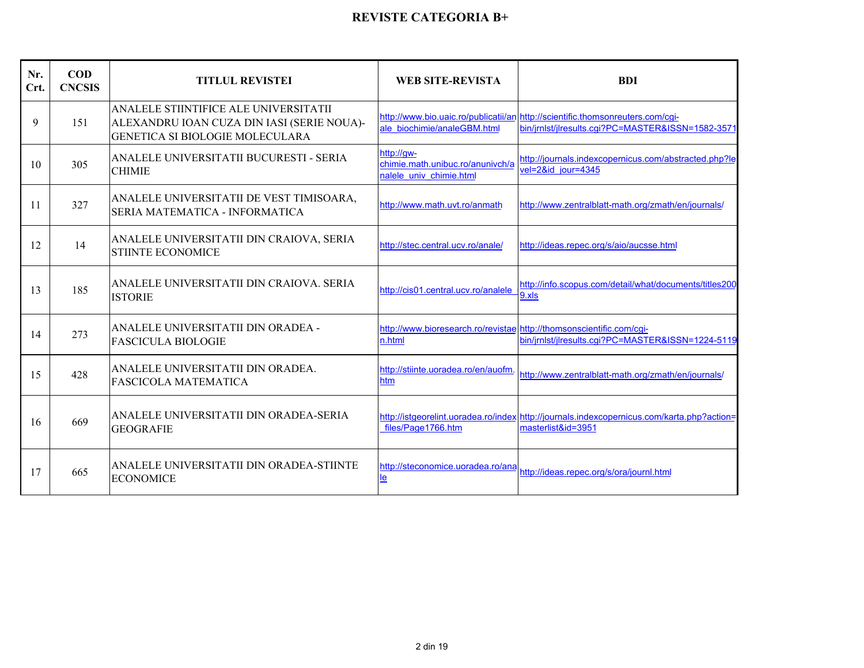| Nr.<br>Crt. | $\mathbf{COD}$<br><b>CNCSIS</b> | <b>TITLUL REVISTEI</b>                                                                                                 | <b>WEB SITE-REVISTA</b>                                                        | <b>BDI</b>                                                                                                                          |
|-------------|---------------------------------|------------------------------------------------------------------------------------------------------------------------|--------------------------------------------------------------------------------|-------------------------------------------------------------------------------------------------------------------------------------|
| 9           | 151                             | ANALELE STIINTIFICE ALE UNIVERSITATII<br>ALEXANDRU IOAN CUZA DIN IASI (SERIE NOUA)-<br>GENETICA SI BIOLOGIE MOLECULARA | ale biochimie/analeGBM.html                                                    | http://www.bio.uaic.ro/publicatii/an http://scientific.thomsonreuters.com/cgi-<br>bin/jrnlst/jlresults.cgi?PC=MASTER&ISSN=1582-3571 |
| 10          | 305                             | ANALELE UNIVERSITATII BUCURESTI - SERIA<br><b>CHIMIE</b>                                                               | http://gw-<br>chimie.math.unibuc.ro/anunivch/a<br>nalele univ chimie.html      | http://journals.indexcopernicus.com/abstracted.php?le<br>vel=2&id jour=4345                                                         |
| 11          | 327                             | ANALELE UNIVERSITATII DE VEST TIMISOARA,<br>SERIA MATEMATICA - INFORMATICA                                             | http://www.math.uvt.ro/anmath                                                  | http://www.zentralblatt-math.org/zmath/en/journals/                                                                                 |
| 12          | 14                              | ANALELE UNIVERSITATII DIN CRAIOVA, SERIA<br><b>STIINTE ECONOMICE</b>                                                   | http://stec.central.ucv.ro/anale/                                              | http://ideas.repec.org/s/aio/aucsse.html                                                                                            |
| 13          | 185                             | ANALELE UNIVERSITATII DIN CRAIOVA, SERIA<br><b>ISTORIE</b>                                                             | http://cis01.central.ucv.ro/analele                                            | http://info.scopus.com/detail/what/documents/titles200<br>9.xls                                                                     |
| 14          | 273                             | ANALELE UNIVERSITATII DIN ORADEA -<br><b>FASCICULA BIOLOGIE</b>                                                        | http://www.bioresearch.ro/revistae http://thomsonscientific.com/cgi-<br>n.html | bin/jrnlst/jlresults.cqi?PC=MASTER&ISSN=1224-5119                                                                                   |
| 15          | 428                             | ANALELE UNIVERSITATII DIN ORADEA.<br><b>FASCICOLA MATEMATICA</b>                                                       | http://stiinte.uoradea.ro/en/auofm.<br>htm                                     | http://www.zentralblatt-math.org/zmath/en/journals/                                                                                 |
| 16          | 669                             | ANALELE UNIVERSITATII DIN ORADEA-SERIA<br><b>GEOGRAFIE</b>                                                             | files/Page1766.htm                                                             | http://istgeorelint.uoradea.ro/index http://journals.indexcopernicus.com/karta.php?action=<br>masterlist&id=3951                    |
| 17          | 665                             | ANALELE UNIVERSITATII DIN ORADEA-STIINTE<br><b>ECONOMICE</b>                                                           | http://steconomice.uoradea.ro/ana<br><u>le</u>                                 | http://ideas.repec.org/s/ora/iournl.html                                                                                            |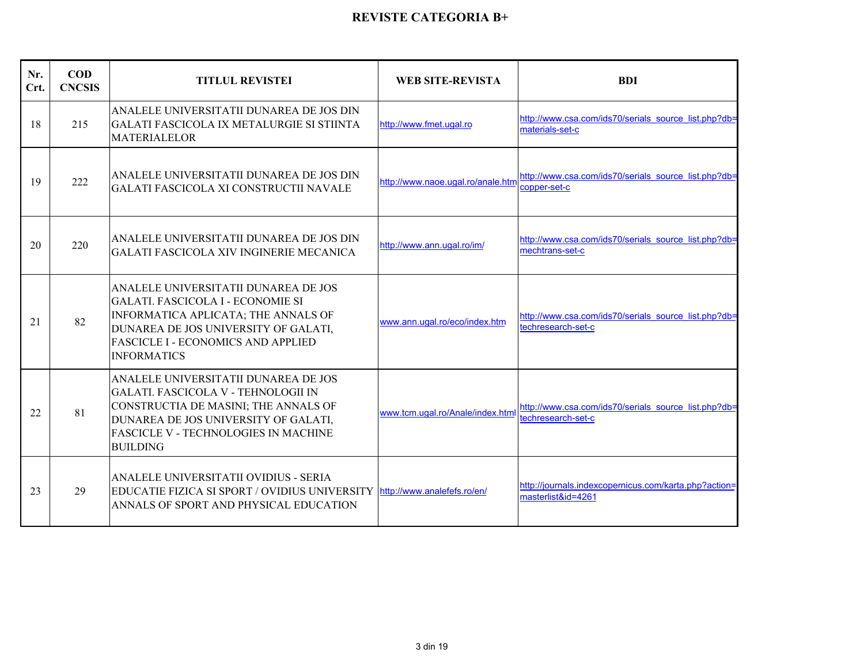| Nr.<br>Crt. | $\mathbf{COD}$<br><b>CNCSIS</b> | <b>TITLUL REVISTEI</b>                                                                                                                                                                                                               | <b>WEB SITE-REVISTA</b>           | <b>BDI</b>                                                                  |
|-------------|---------------------------------|--------------------------------------------------------------------------------------------------------------------------------------------------------------------------------------------------------------------------------------|-----------------------------------|-----------------------------------------------------------------------------|
| 18          | 215                             | ANALELE UNIVERSITATII DUNAREA DE JOS DIN<br>GALATI FASCICOLA IX METALURGIE SI STIINTA<br><b>MATERIALELOR</b>                                                                                                                         | http://www.fmet.ugal.ro           | http://www.csa.com/ids70/serials_source_list.php?db=<br>materials-set-c     |
| 19          | 222                             | ANALELE UNIVERSITATII DUNAREA DE JOS DIN<br>GALATI FASCICOLA XI CONSTRUCTII NAVALE                                                                                                                                                   | http://www.naoe.ugal.ro/anale.htm | http://www.csa.com/ids70/serials_source_list.php?db=<br>copper-set-c        |
| 20          | 220                             | ANALELE UNIVERSITATII DUNAREA DE JOS DIN<br><b>GALATI FASCICOLA XIV INGINERIE MECANICA</b>                                                                                                                                           | http://www.ann.ugal.ro/im/        | http://www.csa.com/ids70/serials_source_list.php?db=<br>mechtrans-set-c     |
| 21          | 82                              | ANALELE UNIVERSITATII DUNAREA DE JOS<br><b>GALATI. FASCICOLA I - ECONOMIE SI</b><br>INFORMATICA APLICATA; THE ANNALS OF<br>DUNAREA DE JOS UNIVERSITY OF GALATI,<br><b>FASCICLE I - ECONOMICS AND APPLIED</b><br><b>INFORMATICS</b>   | www.ann.ugal.ro/eco/index.htm     | http://www.csa.com/ids70/serials_source_list.php?db=<br>techresearch-set-c  |
| 22          | 81                              | ANALELE UNIVERSITATII DUNAREA DE JOS<br><b>GALATI. FASCICOLA V - TEHNOLOGII IN</b><br>CONSTRUCTIA DE MASINI; THE ANNALS OF<br>DUNAREA DE JOS UNIVERSITY OF GALATI,<br><b>FASCICLE V - TECHNOLOGIES IN MACHINE</b><br><b>BUILDING</b> | www.tcm.ugal.ro/Anale/index.html  | http://www.csa.com/ids70/serials source list.php?db=<br>techresearch-set-c  |
| 23          | 29                              | ANALELE UNIVERSITATII OVIDIUS - SERIA<br>EDUCATIE FIZICA SI SPORT / OVIDIUS UNIVERSITY<br>ANNALS OF SPORT AND PHYSICAL EDUCATION                                                                                                     | http://www.analefefs.ro/en/       | http://journals.indexcopernicus.com/karta.php?action=<br>masterlist&id=4261 |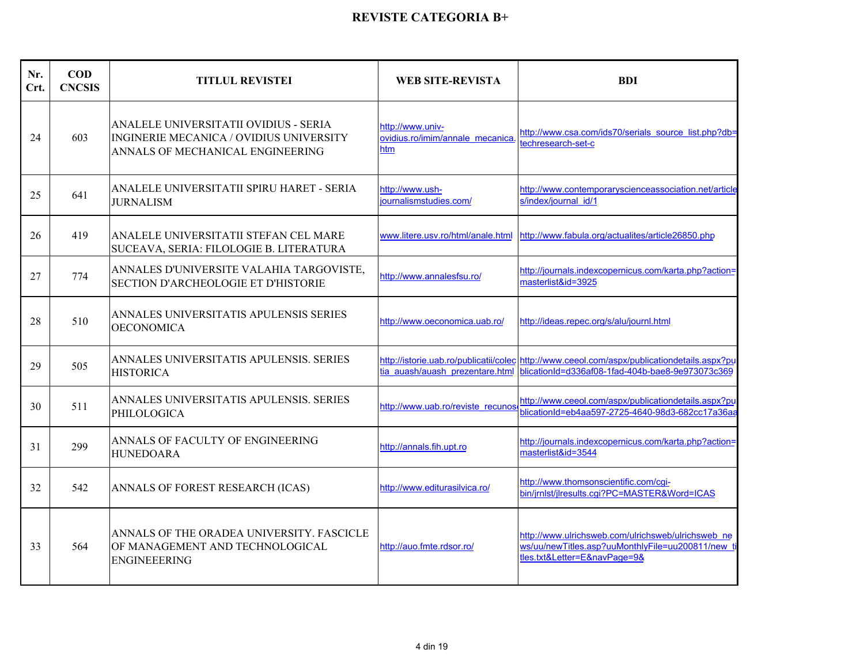| Nr.<br>Crt. | $\mathbf{COD}$<br><b>CNCSIS</b> | <b>TITLUL REVISTEI</b>                                                                                               | <b>WEB SITE-REVISTA</b>                                      | <b>BDI</b>                                                                                                                                      |
|-------------|---------------------------------|----------------------------------------------------------------------------------------------------------------------|--------------------------------------------------------------|-------------------------------------------------------------------------------------------------------------------------------------------------|
| 24          | 603                             | ANALELE UNIVERSITATII OVIDIUS - SERIA<br>INGINERIE MECANICA / OVIDIUS UNIVERSITY<br>ANNALS OF MECHANICAL ENGINEERING | http://www.univ-<br>ovidius.ro/imim/annale mecanica.<br>htm. | http://www.csa.com/ids70/serials_source_list.php?db=<br>echresearch-set-c                                                                       |
| 25          | 641                             | ANALELE UNIVERSITATII SPIRU HARET - SERIA<br><b>JURNALISM</b>                                                        | http://www.ush-<br>iournalismstudies.com/                    | http://www.contemporaryscienceassociation.net/article<br>s/index/iournal id/1                                                                   |
| 26          | 419                             | ANALELE UNIVERSITATII STEFAN CEL MARE<br>SUCEAVA, SERIA: FILOLOGIE B. LITERATURA                                     | www.litere.usv.ro/html/anale.html                            | http://www.fabula.org/actualites/article26850.php                                                                                               |
| 27          | 774                             | ANNALES D'UNIVERSITE VALAHIA TARGOVISTE,<br><b>SECTION D'ARCHEOLOGIE ET D'HISTORIE</b>                               | http://www.annalesfsu.ro/                                    | http://journals.indexcopernicus.com/karta.php?action=<br>masterlist&id=3925                                                                     |
| 28          | 510                             | ANNALES UNIVERSITATIS APULENSIS SERIES<br><b>OECONOMICA</b>                                                          | http://www.oeconomica.uab.ro/                                | http://ideas.repec.org/s/alu/journl.html                                                                                                        |
| 29          | 505                             | ANNALES UNIVERSITATIS APULENSIS. SERIES<br><b>HISTORICA</b>                                                          | tia auash/auash prezentare.html                              | http://istorie.uab.ro/publicatii/colec http://www.ceeol.com/aspx/publicationdetails.aspx?pu<br>blicationId=d336af08-1fad-404b-bae8-9e973073c369 |
| 30          | 511                             | ANNALES UNIVERSITATIS APULENSIS. SERIES<br>PHILOLOGICA                                                               | http://www.uab.ro/reviste recunos                            | http://www.ceeol.com/aspx/publicationdetails.aspx?pu<br>blicationId=eb4aa597-2725-4640-98d3-682cc17a36aa                                        |
| 31          | 299                             | ANNALS OF FACULTY OF ENGINEERING<br><b>HUNEDOARA</b>                                                                 | http://annals.fih.upt.ro                                     | http://journals.indexcopernicus.com/karta.php?action=<br>masterlist&id=3544                                                                     |
| 32          | 542                             | ANNALS OF FOREST RESEARCH (ICAS)                                                                                     | http://www.editurasilvica.ro/                                | http://www.thomsonscientific.com/cqi-<br>bin/jrnlst/jlresults.cgi?PC=MASTER&Word=ICAS                                                           |
| 33          | 564                             | ANNALS OF THE ORADEA UNIVERSITY. FASCICLE<br>OF MANAGEMENT AND TECHNOLOGICAL<br><b>ENGINEEERING</b>                  | http://auo.fmte.rdsor.ro/                                    | http://www.ulrichsweb.com/ulrichsweb/ulrichsweb ne<br>ws/uu/newTitles.asp?uuMonthlyFile=uu200811/new ti<br>tles.txt&Letter=E&navPage=9&         |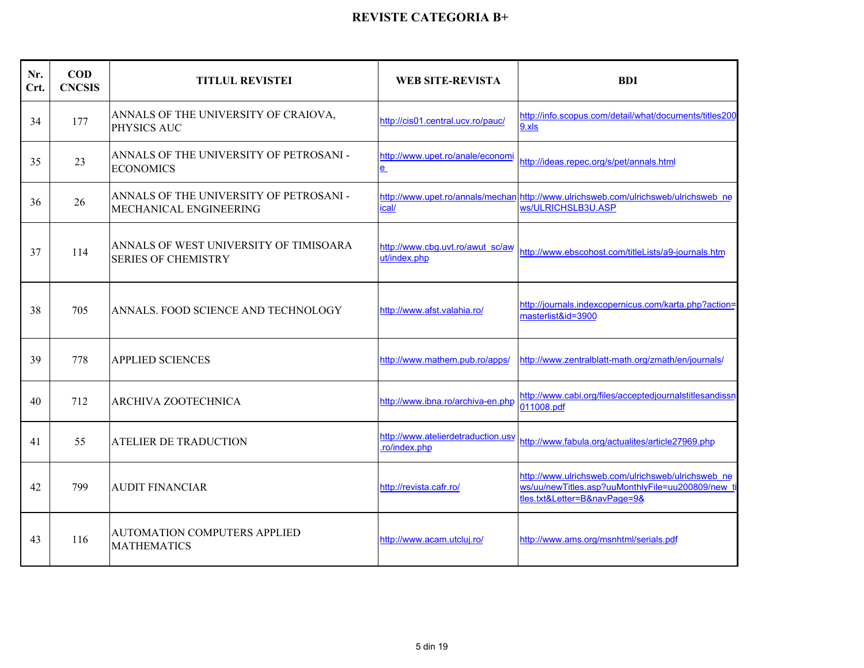| Nr.<br>Crt. | $\mathbf{COD}$<br><b>CNCSIS</b> | <b>TITLUL REVISTEI</b>                                               | <b>WEB SITE-REVISTA</b>                            | <b>BDI</b>                                                                                                                             |
|-------------|---------------------------------|----------------------------------------------------------------------|----------------------------------------------------|----------------------------------------------------------------------------------------------------------------------------------------|
| 34          | 177                             | ANNALS OF THE UNIVERSITY OF CRAIOVA,<br>PHYSICS AUC                  | http://cis01.central.ucv.ro/pauc/                  | http://info.scopus.com/detail/what/documents/titles200<br>9.xls                                                                        |
| 35          | 23                              | ANNALS OF THE UNIVERSITY OF PETROSANI -<br><b>ECONOMICS</b>          | http://www.upet.ro/anale/economi<br><u>e</u>       | http://ideas.repec.org/s/pet/annals.html                                                                                               |
| 36          | 26                              | ANNALS OF THE UNIVERSITY OF PETROSANI -<br>MECHANICAL ENGINEERING    | ical/                                              | http://www.upet.ro/annals/mechan.http://www.ulrichsweb.com/ulrichsweb/ulrichsweb_ne<br>ws/ULRICHSLB3U.ASP                              |
| 37          | 114                             | ANNALS OF WEST UNIVERSITY OF TIMISOARA<br><b>SERIES OF CHEMISTRY</b> | http://www.cbg.uvt.ro/awut_sc/aw<br>ut/index.php   | http://www.ebscohost.com/titleLists/a9-journals.htm                                                                                    |
| 38          | 705                             | ANNALS. FOOD SCIENCE AND TECHNOLOGY                                  | http://www.afst.valahia.ro/                        | http://journals.indexcopernicus.com/karta.php?action=<br>masterlist&id=3900                                                            |
| 39          | 778                             | <b>APPLIED SCIENCES</b>                                              | http://www.mathem.pub.ro/apps/                     | http://www.zentralblatt-math.org/zmath/en/journals/                                                                                    |
| 40          | 712                             | ARCHIVA ZOOTECHNICA                                                  | http://www.ibna.ro/archiva-en.php                  | http://www.cabi.org/files/acceptedjournalstitlesandissn<br>011008.pdf                                                                  |
| 41          | 55                              | <b>ATELIER DE TRADUCTION</b>                                         | http://www.atelierdetraduction.usv<br>ro/index.php | http://www.fabula.org/actualites/article27969.php                                                                                      |
| 42          | 799                             | <b>AUDIT FINANCIAR</b>                                               | http://revista.cafr.ro/                            | http://www.ulrichsweb.com/ulrichsweb/ulrichsweb ne<br>ws/uu/newTitles.asp?uuMonthlyFile=uu200809/new t<br>tles.txt&Letter=B&navPage=9& |
| 43          | 116                             | <b>AUTOMATION COMPUTERS APPLIED</b><br><b>MATHEMATICS</b>            | http://www.acam.utcluj.ro/                         | http://www.ams.org/msnhtml/serials.pdf                                                                                                 |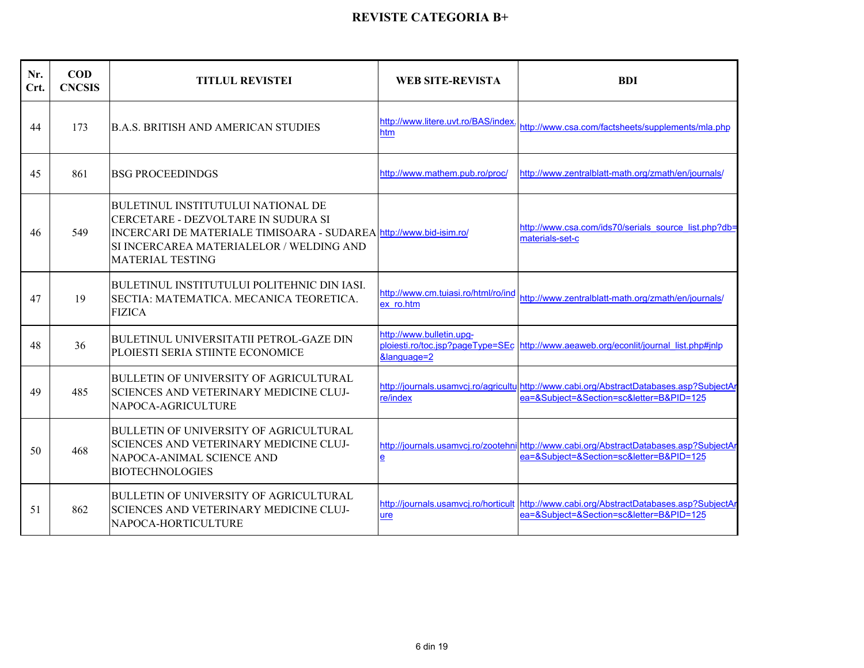| Nr.<br>Crt. | $\bf{COD}$<br><b>CNCSIS</b> | <b>TITLUL REVISTEI</b>                                                                                                                                                                                                        | <b>WEB SITE-REVISTA</b>                          | <b>BDI</b>                                                                                                                           |
|-------------|-----------------------------|-------------------------------------------------------------------------------------------------------------------------------------------------------------------------------------------------------------------------------|--------------------------------------------------|--------------------------------------------------------------------------------------------------------------------------------------|
| 44          | 173                         | <b>B.A.S. BRITISH AND AMERICAN STUDIES</b>                                                                                                                                                                                    | http://www.litere.uvt.ro/BAS/index<br>htm        | http://www.csa.com/factsheets/supplements/mla.php                                                                                    |
| 45          | 861                         | <b>BSG PROCEEDINDGS</b>                                                                                                                                                                                                       | http://www.mathem.pub.ro/proc/                   | http://www.zentralblatt-math.org/zmath/en/journals/                                                                                  |
| 46          | 549                         | <b>BULETINUL INSTITUTULUI NATIONAL DE</b><br>CERCETARE - DEZVOLTARE IN SUDURA SI<br>INCERCARI DE MATERIALE TIMISOARA - SUDAREA http://www.bid-isim.ro/<br>SI INCERCAREA MATERIALELOR / WELDING AND<br><b>MATERIAL TESTING</b> |                                                  | http://www.csa.com/ids70/serials_source_list.php?db=<br>materials-set-c                                                              |
| 47          | 19                          | <b>BULETINUL INSTITUTULUI POLITEHNIC DIN IASI.</b><br>SECTIA: MATEMATICA. MECANICA TEORETICA.<br><b>FIZICA</b>                                                                                                                | http://www.cm.tujasi.ro/html/ro/ind<br>ex ro.htm | http://www.zentralblatt-math.org/zmath/en/journals/                                                                                  |
| 48          | 36                          | <b>BULETINUL UNIVERSITATII PETROL-GAZE DIN</b><br>PLOIESTI SERIA STIINTE ECONOMICE                                                                                                                                            | http://www.bulletin.upg-<br>&language=2          | ploiesti.ro/toc.jsp?pageType=SEc http://www.aeaweb.org/econlit/journal_list.php#jnlp                                                 |
| 49          | 485                         | BULLETIN OF UNIVERSITY OF AGRICULTURAL<br><b>SCIENCES AND VETERINARY MEDICINE CLUJ-</b><br>NAPOCA-AGRICULTURE                                                                                                                 | re/index                                         | http://journals.usamvcj.ro/agricultulhttp://www.cabi.org/AbstractDatabases.asp?SubjectAr<br>ea=&Subject=&Section=sc&letter=B&PID=125 |
| 50          | 468                         | <b>BULLETIN OF UNIVERSITY OF AGRICULTURAL</b><br><b>SCIENCES AND VETERINARY MEDICINE CLUJ-</b><br>NAPOCA-ANIMAL SCIENCE AND<br><b>BIOTECHNOLOGIES</b>                                                                         | $\mathbf{e}$                                     | http://journals.usamvcj.ro/zootehni http://www.cabi.org/AbstractDatabases.asp?SubjectAr<br>ea=&Subject=&Section=sc&letter=B&PID=125  |
| 51          | 862                         | <b>BULLETIN OF UNIVERSITY OF AGRICULTURAL</b><br>SCIENCES AND VETERINARY MEDICINE CLUJ-<br>NAPOCA-HORTICULTURE                                                                                                                | ure                                              | http://journals.usamvcj.ro/horticult http://www.cabi.org/AbstractDatabases.asp?SubjectAr<br>ea=&Subject=&Section=sc&letter=B&PID=125 |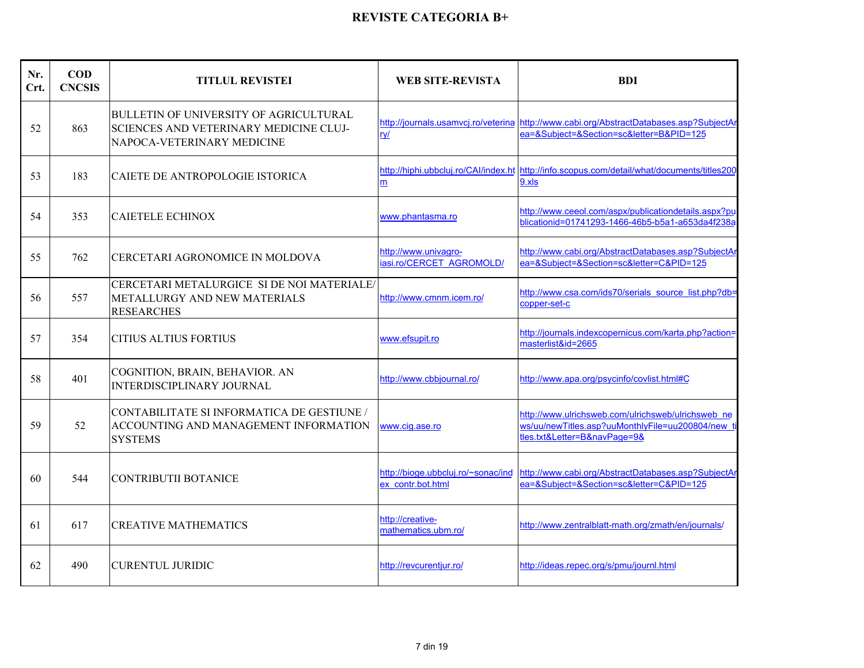| Nr.<br>Crt. | <b>COD</b><br><b>CNCSIS</b> | <b>TITLUL REVISTEI</b>                                                                                                | <b>WEB SITE-REVISTA</b>                                 | <b>BDI</b>                                                                                                                              |
|-------------|-----------------------------|-----------------------------------------------------------------------------------------------------------------------|---------------------------------------------------------|-----------------------------------------------------------------------------------------------------------------------------------------|
| 52          | 863                         | <b>BULLETIN OF UNIVERSITY OF AGRICULTURAL</b><br>SCIENCES AND VETERINARY MEDICINE CLUJ-<br>NAPOCA-VETERINARY MEDICINE | $ry/$                                                   | http://journals.usamvcj.ro/veterina http://www.cabi.org/AbstractDatabases.asp?SubjectAr<br>ea=&Subject=&Section=sc&letter=B&PID=125     |
| 53          | 183                         | CAIETE DE ANTROPOLOGIE ISTORICA                                                                                       | m                                                       | http://hiphi.ubbcluj.ro/CAI/index.ht http://info.scopus.com/detail/what/documents/titles200<br>9.xls                                    |
| 54          | 353                         | <b>CAIETELE ECHINOX</b>                                                                                               | www.phantasma.ro                                        | http://www.ceeol.com/aspx/publicationdetails.aspx?pu<br>blicationid=01741293-1466-46b5-b5a1-a653da4f238a                                |
| 55          | 762                         | CERCETARI AGRONOMICE IN MOLDOVA                                                                                       | http://www.univagro-<br>iasi.ro/CERCET AGROMOLD/        | http://www.cabi.org/AbstractDatabases.asp?SubjectAr<br>ea=&Subject=&Section=sc&letter=C&PID=125                                         |
| 56          | 557                         | CERCETARI METALURGICE SI DE NOI MATERIALE/<br>METALLURGY AND NEW MATERIALS<br><b>RESEARCHES</b>                       | http://www.cmnm.icem.ro/                                | http://www.csa.com/ids70/serials_source_list.php?db=<br>copper-set-c                                                                    |
| 57          | 354                         | <b>CITIUS ALTIUS FORTIUS</b>                                                                                          | www.efsupit.ro                                          | http://journals.indexcopernicus.com/karta.php?action=<br>masterlist&id=2665                                                             |
| 58          | 401                         | COGNITION, BRAIN, BEHAVIOR. AN<br><b>INTERDISCIPLINARY JOURNAL</b>                                                    | http://www.cbbjournal.ro/                               | http://www.apa.org/psycinfo/covlist.html#C                                                                                              |
| 59          | 52                          | CONTABILITATE SI INFORMATICA DE GESTIUNE /<br>ACCOUNTING AND MANAGEMENT INFORMATION<br><b>SYSTEMS</b>                 | www.cig.ase.ro                                          | http://www.ulrichsweb.com/ulrichsweb/ulrichsweb ne<br>ws/uu/newTitles.asp?uuMonthlyFile=uu200804/new_ti<br>tles.txt&Letter=B&navPage=9& |
| 60          | 544                         | <b>CONTRIBUTII BOTANICE</b>                                                                                           | http://bioge.ubbcluj.ro/~sonac/ind<br>ex contr.bot.html | http://www.cabi.org/AbstractDatabases.asp?SubjectAr<br>ea=&Subject=&Section=sc&letter=C&PID=125                                         |
| 61          | 617                         | <b>CREATIVE MATHEMATICS</b>                                                                                           | http://creative-<br>mathematics.ubm.ro/                 | http://www.zentralblatt-math.org/zmath/en/journals/                                                                                     |
| 62          | 490                         | <b>CURENTUL JURIDIC</b>                                                                                               | http://revcurentiur.ro/                                 | http://ideas.repec.org/s/pmu/journl.html                                                                                                |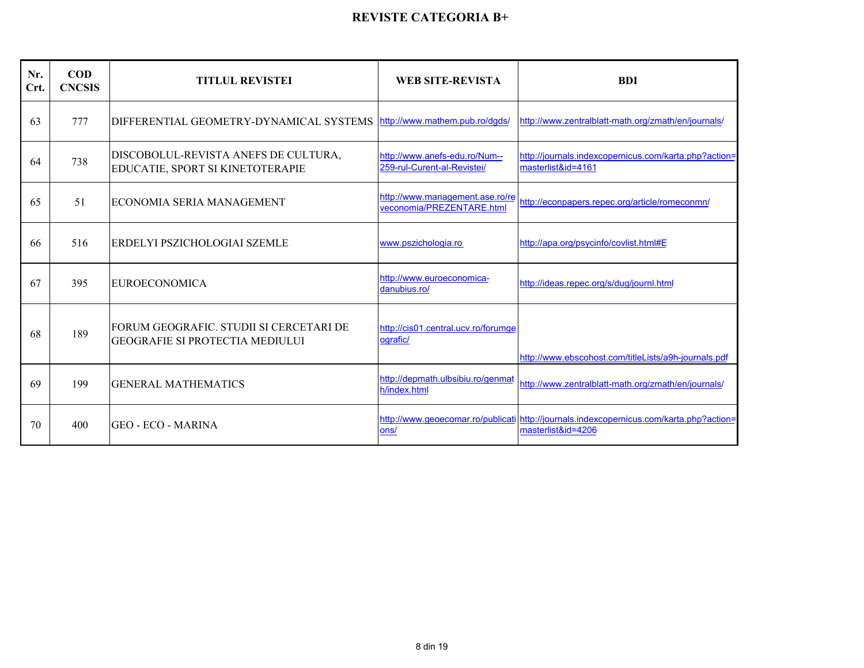| Nr.<br>Crt. | $\mathbf{COD}$<br><b>CNCSIS</b> | <b>TITLUL REVISTEI</b>                                                            | WEB SITE-REVISTA                                             | <b>BDI</b>                                                                                                    |
|-------------|---------------------------------|-----------------------------------------------------------------------------------|--------------------------------------------------------------|---------------------------------------------------------------------------------------------------------------|
| 63          | 777                             | DIFFERENTIAL GEOMETRY-DYNAMICAL SYSTEMS http://www.mathem.pub.ro/dqds/            |                                                              | http://www.zentralblatt-math.org/zmath/en/journals/                                                           |
| 64          | 738                             | DISCOBOLUL-REVISTA ANEFS DE CULTURA,<br>EDUCATIE, SPORT SI KINETOTERAPIE          | http://www.anefs-edu.ro/Num--<br>259-rul-Curent-al-Revistei/ | http://journals.indexcopernicus.com/karta.php?action=<br>masterlist&id=4161                                   |
| 65          | 51                              | ECONOMIA SERIA MANAGEMENT                                                         | http://www.management.ase.ro/re<br>veconomia/PREZENTARE.html | http://econpapers.repec.org/article/romeconmn/                                                                |
| -66         | 516                             | ERDELYI PSZICHOLOGIAI SZEMLE                                                      | www.pszichologia.ro                                          | http://apa.org/psycinfo/covlist.html#E                                                                        |
| 67          | 395                             | <b>EUROECONOMICA</b>                                                              | http://www.euroeconomica-<br>danubius.ro/                    | http://ideas.repec.org/s/dug/journl.html                                                                      |
| 68          | 189                             | FORUM GEOGRAFIC. STUDII SI CERCETARI DE<br><b>GEOGRAFIE SI PROTECTIA MEDIULUI</b> | http://cis01.central.ucv.ro/forumge<br>lografic/             | http://www.ebscohost.com/titleLists/a9h-journals.pdf                                                          |
| 69          | 199                             | <b>GENERAL MATHEMATICS</b>                                                        | http://depmath.ulbsibiu.ro/genmat<br>h/index.html            | http://www.zentralblatt-math.org/zmath/en/journals/                                                           |
| 70          | 400                             | <b>GEO - ECO - MARINA</b>                                                         | ons/                                                         | http://www.geoecomar.ro/publicati http://journals.indexcopernicus.com/karta.php?action=<br>masterlist&id=4206 |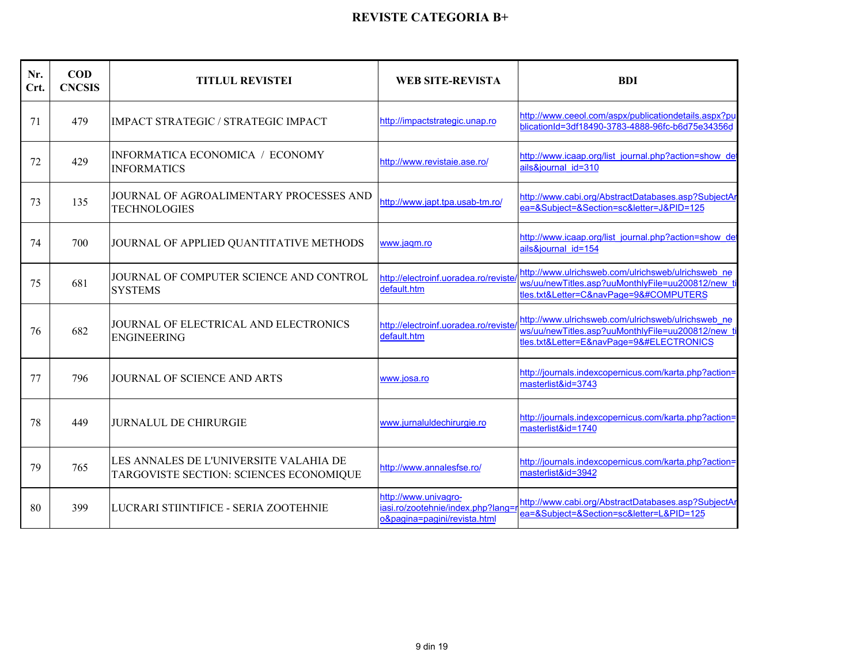| Nr.<br>Crt. | <b>COD</b><br><b>CNCSIS</b> | <b>TITLUL REVISTEI</b>                                         | <b>WEB SITE-REVISTA</b>                             | <b>BDI</b>                                                                                                                                                                                                                                                                                                                                                                                                                                                                                                                                                                                                                                                                                                                                                                                                                                                                                                                                                                                                                                                                                                                                                                                                                                                                                                                                                                                                                     |
|-------------|-----------------------------|----------------------------------------------------------------|-----------------------------------------------------|--------------------------------------------------------------------------------------------------------------------------------------------------------------------------------------------------------------------------------------------------------------------------------------------------------------------------------------------------------------------------------------------------------------------------------------------------------------------------------------------------------------------------------------------------------------------------------------------------------------------------------------------------------------------------------------------------------------------------------------------------------------------------------------------------------------------------------------------------------------------------------------------------------------------------------------------------------------------------------------------------------------------------------------------------------------------------------------------------------------------------------------------------------------------------------------------------------------------------------------------------------------------------------------------------------------------------------------------------------------------------------------------------------------------------------|
| 71          | 479                         | <b>IMPACT STRATEGIC / STRATEGIC IMPACT</b>                     | http://impactstrategic.unap.ro                      | http://www.ceeol.com/aspx/publicationdetails.aspx?pu<br>blicationId=3df18490-3783-4888-96fc-b6d75e34356d                                                                                                                                                                                                                                                                                                                                                                                                                                                                                                                                                                                                                                                                                                                                                                                                                                                                                                                                                                                                                                                                                                                                                                                                                                                                                                                       |
| 72          | 429                         | INFORMATICA ECONOMICA / ECONOMY<br><b>INFORMATICS</b>          | http://www.revistaie.ase.ro/                        | http://www.icaap.org/list_journal.php?action=show_det<br>ails&journal id=310                                                                                                                                                                                                                                                                                                                                                                                                                                                                                                                                                                                                                                                                                                                                                                                                                                                                                                                                                                                                                                                                                                                                                                                                                                                                                                                                                   |
| 73          | 135                         | JOURNAL OF AGROALIMENTARY PROCESSES AND<br><b>TECHNOLOGIES</b> | http://www.japt.tpa.usab-tm.ro/                     | http://www.cabi.org/AbstractDatabases.asp?SubjectAr<br>ea=&Subject=&Section=sc&letter=J&PID=125                                                                                                                                                                                                                                                                                                                                                                                                                                                                                                                                                                                                                                                                                                                                                                                                                                                                                                                                                                                                                                                                                                                                                                                                                                                                                                                                |
| 74          | 700                         | JOURNAL OF APPLIED QUANTITATIVE METHODS                        | www.jagm.ro                                         | http://www.icaap.org/list_journal.php?action=show_det<br>ails&iournal id=154                                                                                                                                                                                                                                                                                                                                                                                                                                                                                                                                                                                                                                                                                                                                                                                                                                                                                                                                                                                                                                                                                                                                                                                                                                                                                                                                                   |
| 75          | 681                         | JOURNAL OF COMPUTER SCIENCE AND CONTROL<br><b>SYSTEMS</b>      | http://electroinf.uoradea.ro/reviste<br>default.htm | http://www.ulrichsweb.com/ulrichsweb/ulrichsweb ne<br>ws/uu/newTitles.asp?uuMonthlyFile=uu200812/new ti<br>tles.txt&Letter=C&navPage=9&#COMPUTERS</td></tr><tr><td>76</td><td>682</td><td>JOURNAL OF ELECTRICAL AND ELECTRONICS<br><b>ENGINEERING</b></td><td>http://electroinf.uoradea.ro/reviste<br>default.htm</td><td>http://www.ulrichsweb.com/ulrichsweb/ulrichsweb ne<br>ws/uu/newTitles.asp?uuMonthlyFile=uu200812/new_ti<br>tles.txt&Letter=E&navPage=9&#ELECTRONICS</td></tr><tr><td>77</td><td>796</td><td><b>JOURNAL OF SCIENCE AND ARTS</b></td><td>www.josa.ro</td><td>http://journals.indexcopernicus.com/karta.php?action=<br>masterlist&id=3743</td></tr><tr><td>78</td><td>449</td><td><b>JURNALUL DE CHIRURGIE</b></td><td>www.jurnaluldechirurgie.ro</td><td>http://journals.indexcopernicus.com/karta.php?action=<br>masterlist&id=1740</td></tr><tr><td>79</td><td>765</td><td>LES ANNALES DE L'UNIVERSITE VALAHIA DE<br>TARGOVISTE SECTION: SCIENCES ECONOMIQUE</td><td>http://www.annalesfse.ro/</td><td>http://journals.indexcopernicus.com/karta.php?action=<br>masterlist&id=3942</td></tr><tr><td>80</td><td>399</td><td>LUCRARI STIINTIFICE - SERIA ZOOTEHNIE</td><td>http://www.univagro-<br>iasi.ro/zootehnie/index.php?lang=<br>o&pagina=pagini/revista.html</td><td>http://www.cabi.org/AbstractDatabases.asp?SubjectAr<br>ea=&Subject=&Section=sc&letter=L&PID=125</td></tr></tbody></table> |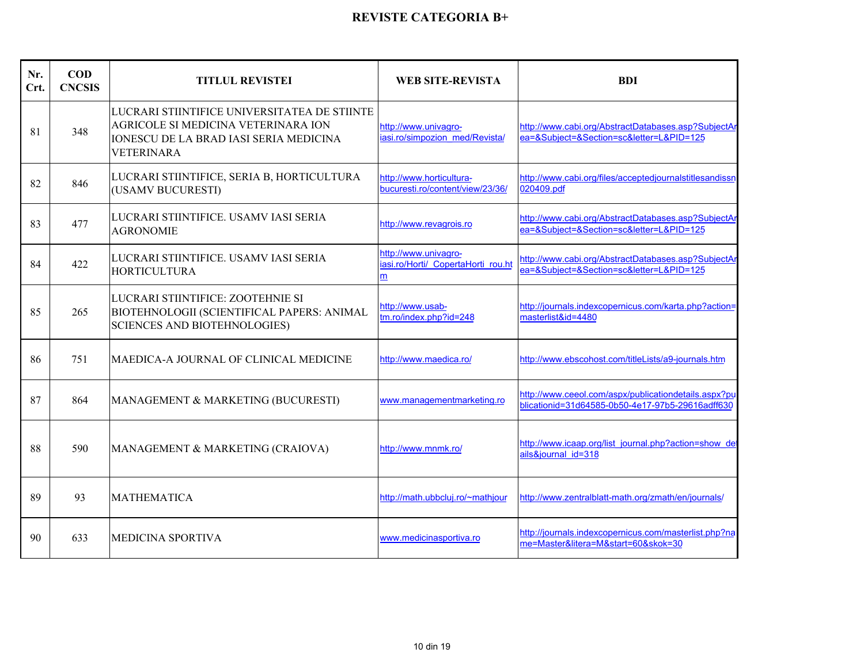| Nr.<br>Crt. | $\bf{COD}$<br><b>CNCSIS</b> | <b>TITLUL REVISTEI</b>                                                                                                                             | <b>WEB SITE-REVISTA</b>                                         | <b>BDI</b>                                                                                               |
|-------------|-----------------------------|----------------------------------------------------------------------------------------------------------------------------------------------------|-----------------------------------------------------------------|----------------------------------------------------------------------------------------------------------|
| 81          | 348                         | LUCRARI STIINTIFICE UNIVERSITATEA DE STIINTE<br>AGRICOLE SI MEDICINA VETERINARA ION<br>IONESCU DE LA BRAD IASI SERIA MEDICINA<br><b>VETERINARA</b> | http://www.univagro-<br>iasi.ro/simpozion med/Revista/          | http://www.cabi.org/AbstractDatabases.asp?SubjectAr<br>ea=&Subject=&Section=sc&letter=L&PID=125          |
| 82          | 846                         | LUCRARI STIINTIFICE, SERIA B, HORTICULTURA<br>(USAMV BUCURESTI)                                                                                    | http://www.horticultura-<br>bucuresti.ro/content/view/23/36/    | http://www.cabi.org/files/acceptedjournalstitlesandissn<br>020409.pdf                                    |
| 83          | 477                         | LUCRARI STIINTIFICE. USAMV IASI SERIA<br><b>AGRONOMIE</b>                                                                                          | http://www.revagrois.ro                                         | http://www.cabi.org/AbstractDatabases.asp?SubjectAr<br>ea=&Subject=&Section=sc&letter=L&PID=125          |
| 84          | 422                         | LUCRARI STIINTIFICE. USAMV IASI SERIA<br><b>HORTICULTURA</b>                                                                                       | http://www.univagro-<br>iasi.ro/Horti/ CopertaHorti rou.ht<br>m | http://www.cabi.org/AbstractDatabases.asp?SubjectAr<br>ea=&Subject=&Section=sc&letter=L&PID=125          |
| 85          | 265                         | LUCRARI STIINTIFICE: ZOOTEHNIE SI<br>BIOTEHNOLOGII (SCIENTIFICAL PAPERS: ANIMAL<br><b>SCIENCES AND BIOTEHNOLOGIES)</b>                             | http://www.usab-<br>tm.ro/index.php?id=248                      | http://journals.indexcopernicus.com/karta.php?action=<br>masterlist&id=4480                              |
| 86          | 751                         | MAEDICA-A JOURNAL OF CLINICAL MEDICINE                                                                                                             | http://www.maedica.ro/                                          | http://www.ebscohost.com/titleLists/a9-journals.htm                                                      |
| 87          | 864                         | MANAGEMENT & MARKETING (BUCURESTI)                                                                                                                 | www.managementmarketing.ro                                      | http://www.ceeol.com/aspx/publicationdetails.aspx?pu<br>blicationid=31d64585-0b50-4e17-97b5-29616adff630 |
| 88          | 590                         | MANAGEMENT & MARKETING (CRAIOVA)                                                                                                                   | http://www.mnmk.ro/                                             | http://www.icaap.org/list_journal.php?action=show_det<br>ails&journal id=318                             |
| 89          | 93                          | <b>MATHEMATICA</b>                                                                                                                                 | http://math.ubbcluj.ro/~mathjour                                | http://www.zentralblatt-math.org/zmath/en/journals/                                                      |
| 90          | 633                         | <b>MEDICINA SPORTIVA</b>                                                                                                                           | www.medicinasportiva.ro                                         | http://journals.indexcopernicus.com/masterlist.php?na<br>me=Master&litera=M&start=60&skok=30             |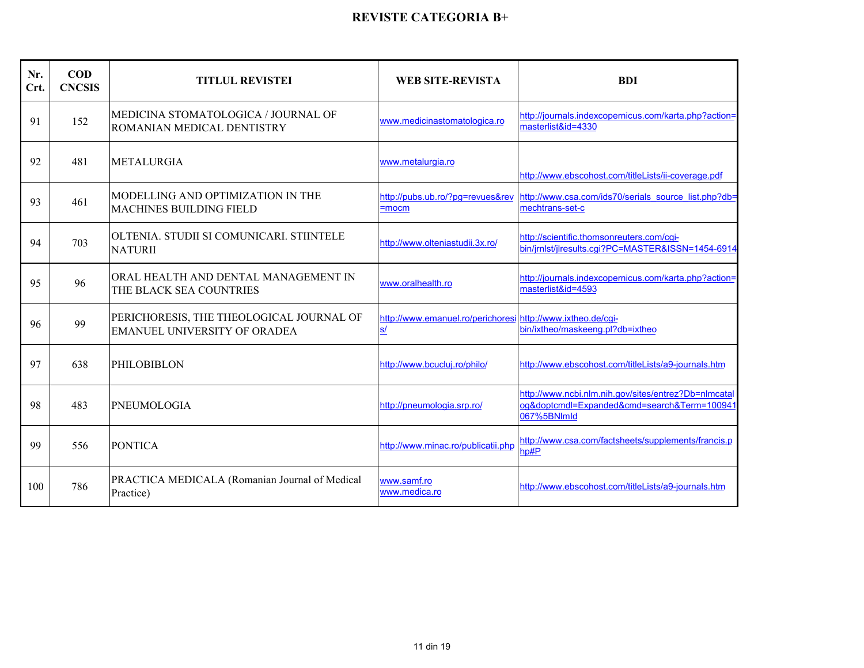| Nr.<br>Crt. | $\mathbf{COD}$<br><b>CNCSIS</b> | <b>TITLUL REVISTEI</b>                                                          | <b>WEB SITE-REVISTA</b>                                                  | <b>BDI</b>                                                                                                         |
|-------------|---------------------------------|---------------------------------------------------------------------------------|--------------------------------------------------------------------------|--------------------------------------------------------------------------------------------------------------------|
| 91          | 152                             | MEDICINA STOMATOLOGICA / JOURNAL OF<br>ROMANIAN MEDICAL DENTISTRY               | www.medicinastomatologica.ro                                             | http://journals.indexcopernicus.com/karta.php?action=<br>masterlist&id=4330                                        |
| 92          | 481                             | <b>METALURGIA</b>                                                               | www.metalurgia.ro                                                        | http://www.ebscohost.com/titleLists/ii-coverage.pdf                                                                |
| 93          | 461                             | MODELLING AND OPTIMIZATION IN THE<br><b>MACHINES BUILDING FIELD</b>             | http://pubs.ub.ro/?pg=revues&rev<br>$=$ mocm                             | http://www.csa.com/ids70/serials_source_list.php?db=<br>mechtrans-set-c                                            |
| 94          | 703                             | OLTENIA. STUDII SI COMUNICARI. STIINTELE<br><b>NATURII</b>                      | http://www.olteniastudii.3x.ro/                                          | http://scientific.thomsonreuters.com/cgi-<br>bin/jrnlst/jlresults.cgi?PC=MASTER&ISSN=1454-6914                     |
| 95          | 96                              | ORAL HEALTH AND DENTAL MANAGEMENT IN<br>THE BLACK SEA COUNTRIES                 | www.oralhealth.ro                                                        | http://journals.indexcopernicus.com/karta.php?action=<br>masterlist&id=4593                                        |
| 96          | 99                              | PERICHORESIS, THE THEOLOGICAL JOURNAL OF<br><b>EMANUEL UNIVERSITY OF ORADEA</b> | http://www.emanuel.ro/perichoresi http://www.ixtheo.de/cgi-<br><u>s/</u> | bin/ixtheo/maskeeng.pl?db=ixtheo                                                                                   |
| 97          | 638                             | <b>PHILOBIBLON</b>                                                              | http://www.bcucluj.ro/philo/                                             | http://www.ebscohost.com/titleLists/a9-journals.htm                                                                |
| 98          | 483                             | <b>PNEUMOLOGIA</b>                                                              | http://pneumologia.srp.ro/                                               | http://www.ncbi.nlm.nih.gov/sites/entrez?Db=nlmcatal<br>og&doptcmdl=Expanded&cmd=search&Term=100941<br>067%5BNlmld |
| 99          | 556                             | <b>PONTICA</b>                                                                  | http://www.minac.ro/publicatii.php                                       | http://www.csa.com/factsheets/supplements/francis.p<br>hp#P                                                        |
| 100         | 786                             | PRACTICA MEDICALA (Romanian Journal of Medical<br>Practice)                     | www.samf.ro<br>www.medica.ro                                             | http://www.ebscohost.com/titleLists/a9-journals.htm                                                                |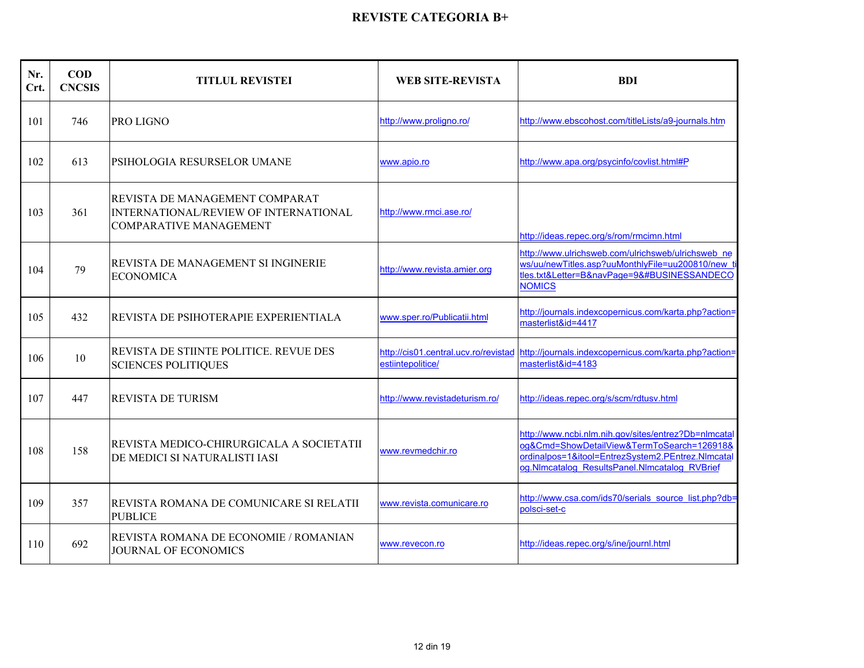| Nr.<br>Crt. | $\bf{COD}$<br><b>CNCSIS</b> | <b>TITLUL REVISTEI</b>                                                                                          | <b>WEB SITE-REVISTA</b>      | <b>BDI</b>                                                                                                                                                                                                                                                                                                                                                                                                                                                                                                                                                                                                                                                                                                                                                                                                                                                                                                                                                                                                                                                                                                                                                                                                                                                                                                                                                                                                                                                                                                                                                                                           |
|-------------|-----------------------------|-----------------------------------------------------------------------------------------------------------------|------------------------------|------------------------------------------------------------------------------------------------------------------------------------------------------------------------------------------------------------------------------------------------------------------------------------------------------------------------------------------------------------------------------------------------------------------------------------------------------------------------------------------------------------------------------------------------------------------------------------------------------------------------------------------------------------------------------------------------------------------------------------------------------------------------------------------------------------------------------------------------------------------------------------------------------------------------------------------------------------------------------------------------------------------------------------------------------------------------------------------------------------------------------------------------------------------------------------------------------------------------------------------------------------------------------------------------------------------------------------------------------------------------------------------------------------------------------------------------------------------------------------------------------------------------------------------------------------------------------------------------------|
| 101         | 746                         | PRO LIGNO                                                                                                       | http://www.proligno.ro/      | http://www.ebscohost.com/titleLists/a9-journals.htm                                                                                                                                                                                                                                                                                                                                                                                                                                                                                                                                                                                                                                                                                                                                                                                                                                                                                                                                                                                                                                                                                                                                                                                                                                                                                                                                                                                                                                                                                                                                                  |
| 102         | 613                         | PSIHOLOGIA RESURSELOR UMANE                                                                                     | www.apio.ro                  | http://www.apa.org/psycinfo/covlist.html#P                                                                                                                                                                                                                                                                                                                                                                                                                                                                                                                                                                                                                                                                                                                                                                                                                                                                                                                                                                                                                                                                                                                                                                                                                                                                                                                                                                                                                                                                                                                                                           |
| 103         | 361                         | REVISTA DE MANAGEMENT COMPARAT<br><b>INTERNATIONAL/REVIEW OF INTERNATIONAL</b><br><b>COMPARATIVE MANAGEMENT</b> | http://www.rmci.ase.ro/      | http://ideas.repec.org/s/rom/rmcimn.html                                                                                                                                                                                                                                                                                                                                                                                                                                                                                                                                                                                                                                                                                                                                                                                                                                                                                                                                                                                                                                                                                                                                                                                                                                                                                                                                                                                                                                                                                                                                                             |
| 104         | 79                          | REVISTA DE MANAGEMENT SI INGINERIE<br><b>ECONOMICA</b>                                                          | http://www.revista.amier.org | http://www.ulrichsweb.com/ulrichsweb/ulrichsweb ne<br>ws/uu/newTitles.asp?uuMonthlyFile=uu200810/new<br>tles.txt&Letter=B&navPage=9&#BUSINESSANDECO<br><b>NOMICS</b></td></tr><tr><td>105</td><td>432</td><td>REVISTA DE PSIHOTERAPIE EXPERIENTIALA</td><td>www.sper.ro/Publicatii.html</td><td>http://journals.indexcopernicus.com/karta.php?action=<br>masterlist&id=4417</td></tr><tr><td>106</td><td>10</td><td>REVISTA DE STIINTE POLITICE. REVUE DES<br><b>SCIENCES POLITIQUES</b></td><td>estiintepolitice/</td><td>http://cis01.central.ucv.ro/revistad http://journals.indexcopernicus.com/karta.php?action=<br>masterlist&id=4183</td></tr><tr><td>107</td><td>447</td><td><b>REVISTA DE TURISM</b></td><td>http://www.revistadeturism.ro/</td><td>http://ideas.repec.org/s/scm/rdtusv.html</td></tr><tr><td>108</td><td>158</td><td>REVISTA MEDICO-CHIRURGICALA A SOCIETATII<br>DE MEDICI SI NATURALISTI IASI</td><td>www.revmedchir.ro</td><td>http://www.ncbi.nlm.nih.gov/sites/entrez?Db=nlmcata<br>og&Cmd=ShowDetailView&TermToSearch=126918&<br>ordinalpos=1&itool=EntrezSystem2.PEntrez.NImcatal<br>og.NImcatalog ResultsPanel.NImcatalog RVBrief</td></tr><tr><td>109</td><td>357</td><td>REVISTA ROMANA DE COMUNICARE SI RELATII<br><b>PUBLICE</b></td><td>www.revista.comunicare.ro</td><td>http://www.csa.com/ids70/serials_source_list.php?db=<br>polsci-set-c</td></tr><tr><td>110</td><td>692</td><td>REVISTA ROMANA DE ECONOMIE / ROMANIAN<br><b>JOURNAL OF ECONOMICS</b></td><td>www.revecon.ro</td><td>http://ideas.repec.org/s/ine/journl.html</td></tr></tbody></table> |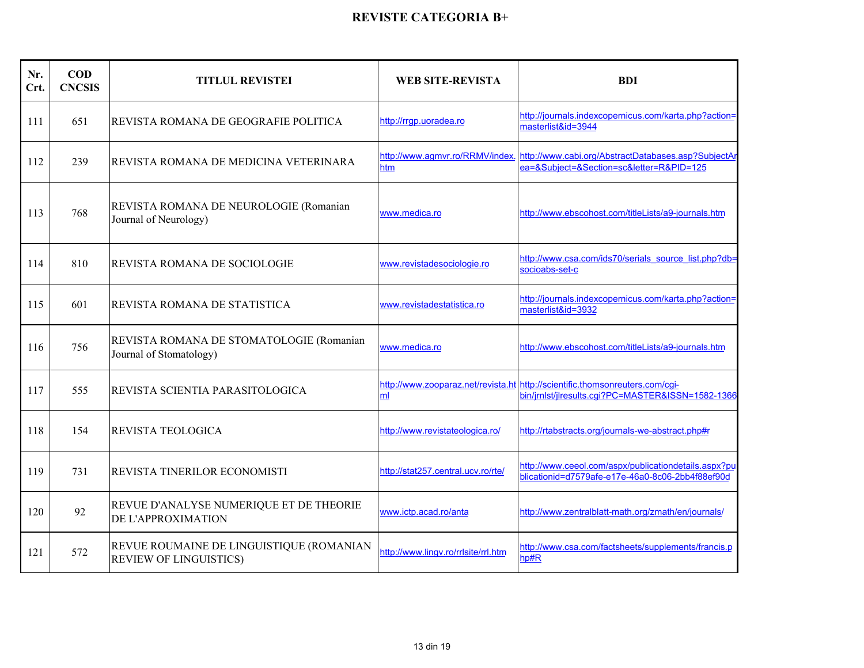| Nr.<br>Crt. | <b>COD</b><br><b>CNCSIS</b> | <b>TITLUL REVISTEI</b>                                                    | <b>WEB SITE-REVISTA</b>                | <b>BDI</b>                                                                                                                        |
|-------------|-----------------------------|---------------------------------------------------------------------------|----------------------------------------|-----------------------------------------------------------------------------------------------------------------------------------|
| 111         | 651                         | REVISTA ROMANA DE GEOGRAFIE POLITICA                                      | http://rrgp.uoradea.ro                 | http://journals.indexcopernicus.com/karta.php?action=<br>masterlist&id=3944                                                       |
| 112         | 239                         | REVISTA ROMANA DE MEDICINA VETERINARA                                     | http://www.agmvr.ro/RRMV/index.<br>htm | http://www.cabi.org/AbstractDatabases.asp?SubjectAr<br>ea=&Subject=&Section=sc&letter=R&PID=125                                   |
| 113         | 768                         | REVISTA ROMANA DE NEUROLOGIE (Romanian<br>Journal of Neurology)           | www.medica.ro                          | http://www.ebscohost.com/titleLists/a9-journals.htm                                                                               |
| 114         | 810                         | <b>REVISTA ROMANA DE SOCIOLOGIE</b>                                       | www.revistadesociologie.ro             | http://www.csa.com/ids70/serials_source_list.php?db=<br>socioabs-set-c                                                            |
| 115         | 601                         | REVISTA ROMANA DE STATISTICA                                              | www.revistadestatistica.ro             | http://journals.indexcopernicus.com/karta.php?action=<br>masterlist&id=3932                                                       |
| 116         | 756                         | REVISTA ROMANA DE STOMATOLOGIE (Romanian<br>Journal of Stomatology)       | www.medica.ro                          | http://www.ebscohost.com/titleLists/a9-journals.htm                                                                               |
| 117         | 555                         | REVISTA SCIENTIA PARASITOLOGICA                                           | ml                                     | http://www.zooparaz.net/revista.ht http://scientific.thomsonreuters.com/cgi-<br>bin/jrnlst/jlresults.cgi?PC=MASTER&ISSN=1582-1366 |
| 118         | 154                         | REVISTA TEOLOGICA                                                         | http://www.revistateologica.ro/        | http://rtabstracts.org/journals-we-abstract.php#r                                                                                 |
| 119         | 731                         | REVISTA TINERILOR ECONOMISTI                                              | http://stat257.central.ucv.ro/rte/     | http://www.ceeol.com/aspx/publicationdetails.aspx?pu<br>blicationid=d7579afe-e17e-46a0-8c06-2bb4f88ef90d                          |
| 120         | 92                          | REVUE D'ANALYSE NUMERIQUE ET DE THEORIE<br>DE L'APPROXIMATION             | www.ictp.acad.ro/anta                  | http://www.zentralblatt-math.org/zmath/en/journals/                                                                               |
| 121         | 572                         | REVUE ROUMAINE DE LINGUISTIQUE (ROMANIAN<br><b>REVIEW OF LINGUISTICS)</b> | http://www.lingv.ro/rrlsite/rrl.htm    | http://www.csa.com/factsheets/supplements/francis.p<br>hp#R                                                                       |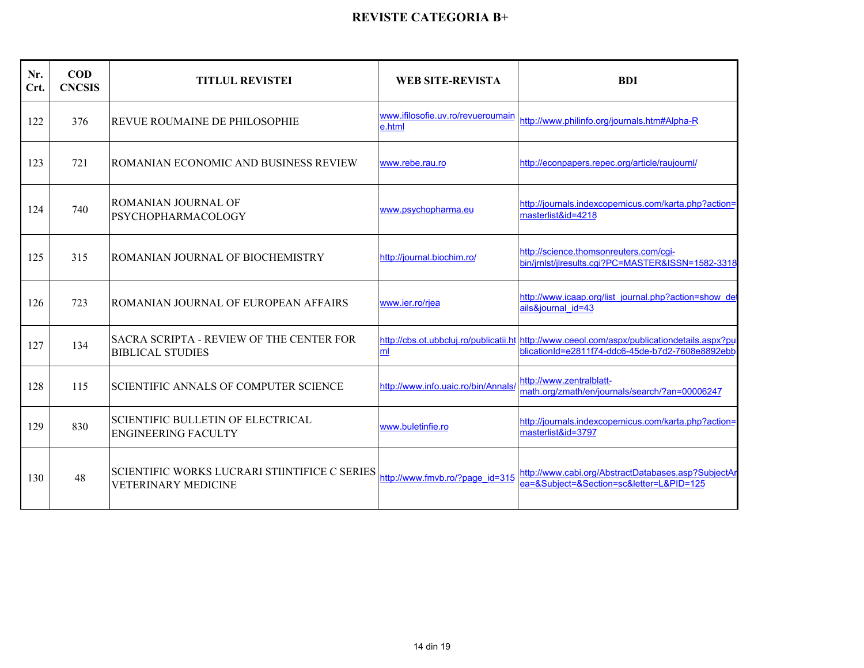| Nr.<br>Crt. | $\mathbf{COD}$<br><b>CNCSIS</b> | <b>TITLUL REVISTEI</b>                                                             | <b>WEB SITE-REVISTA</b>                     | <b>BDI</b>                                                                                                                                      |
|-------------|---------------------------------|------------------------------------------------------------------------------------|---------------------------------------------|-------------------------------------------------------------------------------------------------------------------------------------------------|
| 122         | 376                             | <b>REVUE ROUMAINE DE PHILOSOPHIE</b>                                               | www.ifilosofie.uv.ro/revueroumain<br>e.html | http://www.philinfo.org/journals.htm#Alpha-R                                                                                                    |
| 123         | 721                             | ROMANIAN ECONOMIC AND BUSINESS REVIEW                                              | www.rebe.rau.ro                             | http://econpapers.repec.org/article/raujournl/                                                                                                  |
| 124         | 740                             | ROMANIAN JOURNAL OF<br><b>PSYCHOPHARMACOLOGY</b>                                   | www.psychopharma.eu                         | http://journals.indexcopernicus.com/karta.php?action=<br>masterlist&id=4218                                                                     |
| 125         | 315                             | ROMANIAN JOURNAL OF BIOCHEMISTRY                                                   | http://journal.biochim.ro/                  | http://science.thomsonreuters.com/cgi-<br>bin/jrnlst/jlresults.cqi?PC=MASTER&ISSN=1582-3318                                                     |
| 126         | 723                             | ROMANIAN JOURNAL OF EUROPEAN AFFAIRS                                               | www.ier.ro/rjea                             | http://www.icaap.org/list journal.php?action=show de<br>ails&iournal id=43                                                                      |
| 127         | 134                             | SACRA SCRIPTA - REVIEW OF THE CENTER FOR<br><b>BIBLICAL STUDIES</b>                | ml                                          | http://cbs.ot.ubbcluj.ro/publicatii.ht http://www.ceeol.com/aspx/publicationdetails.aspx?pu<br>blicationId=e2811f74-ddc6-45de-b7d2-7608e8892ebb |
| 128         | 115                             | <b>SCIENTIFIC ANNALS OF COMPUTER SCIENCE</b>                                       | http://www.info.uaic.ro/bin/Annals/         | http://www.zentralblatt-<br>math.org/zmath/en/journals/search/?an=00006247                                                                      |
| 129         | 830                             | SCIENTIFIC BULLETIN OF ELECTRICAL<br><b>ENGINEERING FACULTY</b>                    | www.buletinfie.ro                           | http://journals.indexcopernicus.com/karta.php?action=<br>masterlist&id=3797                                                                     |
| 130         | 48                              | <b>SCIENTIFIC WORKS LUCRARI STIINTIFICE C SERIES</b><br><b>VETERINARY MEDICINE</b> | http://www.fmvb.ro/?page_id=315             | http://www.cabi.org/AbstractDatabases.asp?SubjectAr<br>ea=&Subject=&Section=sc&letter=L&PID=125                                                 |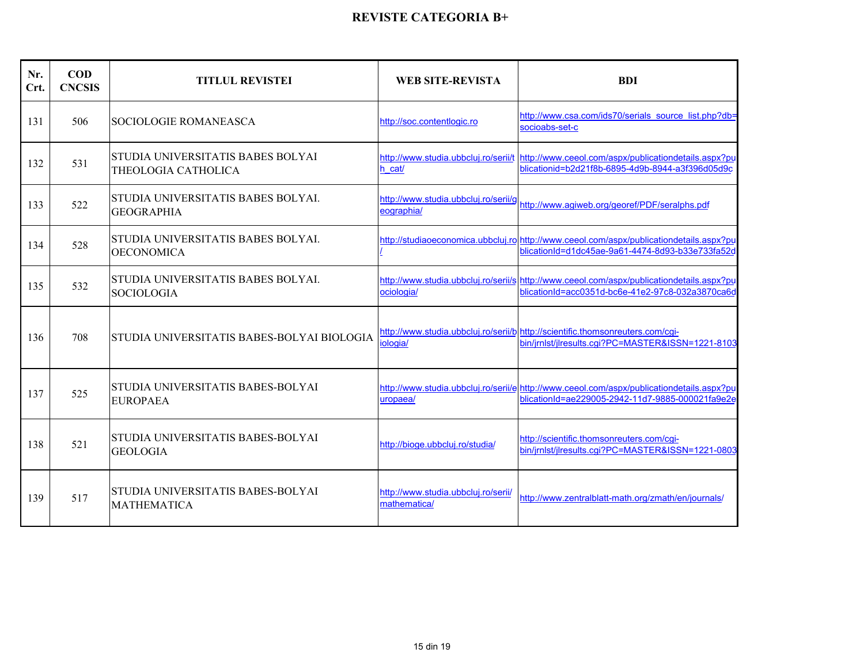| Nr.<br>Crt. | $\bf{COD}$<br><b>CNCSIS</b> | <b>TITLUL REVISTEI</b>                                   | <b>WEB SITE-REVISTA</b>                             | <b>BDI</b>                                                                                                                                    |
|-------------|-----------------------------|----------------------------------------------------------|-----------------------------------------------------|-----------------------------------------------------------------------------------------------------------------------------------------------|
| 131         | 506                         | SOCIOLOGIE ROMANEASCA                                    | http://soc.contentlogic.ro                          | http://www.csa.com/ids70/serials_source_list.php?db=<br>socioabs-set-c                                                                        |
| 132         | 531                         | STUDIA UNIVERSITATIS BABES BOLYAI<br>THEOLOGIA CATHOLICA | h cat/                                              | http://www.studia.ubbcluj.ro/serii/t http://www.ceeol.com/aspx/publicationdetails.aspx?pu<br>blicationid=b2d21f8b-6895-4d9b-8944-a3f396d05d9c |
| 133         | 522                         | STUDIA UNIVERSITATIS BABES BOLYAL<br><b>GEOGRAPHIA</b>   | http://www.studia.ubbcluj.ro/serii/g<br>eographia/  | http://www.aqiweb.org/georef/PDF/seralphs.pdf                                                                                                 |
| 134         | 528                         | STUDIA UNIVERSITATIS BABES BOLYAL<br><b>OECONOMICA</b>   |                                                     | http://studiaoeconomica.ubbcluj.ro http://www.ceeol.com/aspx/publicationdetails.aspx?pu<br>blicationId=d1dc45ae-9a61-4474-8d93-b33e733fa52d   |
| 135         | 532                         | STUDIA UNIVERSITATIS BABES BOLYAI.<br><b>SOCIOLOGIA</b>  | ociologia/                                          | http://www.studia.ubbcluj.ro/serii/s http://www.ceeol.com/aspx/publicationdetails.aspx?pu<br>blicationId=acc0351d-bc6e-41e2-97c8-032a3870ca6d |
| 136         | 708                         | STUDIA UNIVERSITATIS BABES-BOLYAI BIOLOGIA               | iologia/                                            | http://www.studia.ubbcluj.ro/serii/b http://scientific.thomsonreuters.com/cqi-<br>bin/jrnlst/jlresults.cqi?PC=MASTER&ISSN=1221-8103           |
| 137         | 525                         | STUDIA UNIVERSITATIS BABES-BOLYAI<br><b>EUROPAEA</b>     | uropaea/                                            | http://www.studia.ubbcluj.ro/serii/e http://www.ceeol.com/aspx/publicationdetails.aspx?pu<br>blicationId=ae229005-2942-11d7-9885-000021fa9e2e |
| 138         | 521                         | STUDIA UNIVERSITATIS BABES-BOLYAI<br><b>GEOLOGIA</b>     | http://bioge.ubbcluj.ro/studia/                     | http://scientific.thomsonreuters.com/cgi-<br>bin/jrnlst/jlresults.cqi?PC=MASTER&ISSN=1221-0803                                                |
| 139         | 517                         | STUDIA UNIVERSITATIS BABES-BOLYAI<br><b>MATHEMATICA</b>  | http://www.studia.ubbcluj.ro/serii/<br>mathematica/ | http://www.zentralblatt-math.org/zmath/en/journals/                                                                                           |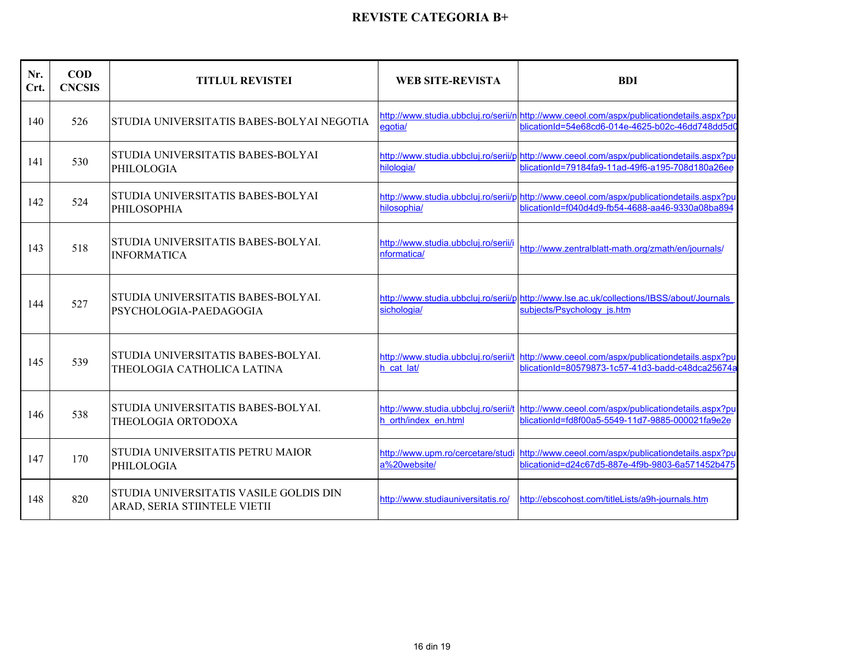| Nr.<br>Crt. | <b>COD</b><br><b>CNCSIS</b> | <b>TITLUL REVISTEI</b>                                                 | <b>WEB SITE-REVISTA</b>                             | <b>BDI</b>                                                                                                                                    |
|-------------|-----------------------------|------------------------------------------------------------------------|-----------------------------------------------------|-----------------------------------------------------------------------------------------------------------------------------------------------|
| 140         | 526                         | STUDIA UNIVERSITATIS BABES-BOLYAI NEGOTIA                              | egotia/                                             | http://www.studia.ubbcluj.ro/serii/n http://www.ceeol.com/aspx/publicationdetails.aspx?pu<br>blicationId=54e68cd6-014e-4625-b02c-46dd748dd5d0 |
| 141         | 530                         | STUDIA UNIVERSITATIS BABES-BOLYAI<br>PHILOLOGIA                        | hilologia/                                          | http://www.studia.ubbcluj.ro/serii/p http://www.ceeol.com/aspx/publicationdetails.aspx?pu<br>blicationId=79184fa9-11ad-49f6-a195-708d180a26ee |
| 142         | 524                         | STUDIA UNIVERSITATIS BABES-BOLYAI<br><b>PHILOSOPHIA</b>                | hilosophia/                                         | http://www.studia.ubbcluj.ro/serii/p http://www.ceeol.com/aspx/publicationdetails.aspx?pu<br>blicationId=f040d4d9-fb54-4688-aa46-9330a08ba894 |
| 143         | 518                         | STUDIA UNIVERSITATIS BABES-BOLYAI.<br><b>INFORMATICA</b>               | http://www.studia.ubbcluj.ro/serii/i<br>nformatica/ | http://www.zentralblatt-math.org/zmath/en/journals/                                                                                           |
| 144         | 527                         | STUDIA UNIVERSITATIS BABES-BOLYAL<br>PSYCHOLOGIA-PAEDAGOGIA            | sichologia/                                         | http://www.studia.ubbcluj.ro/serii/p http://www.lse.ac.uk/collections/IBSS/about/Journals<br>subjects/Psychology js.htm                       |
| 145         | 539                         | STUDIA UNIVERSITATIS BABES-BOLYAL<br>THEOLOGIA CATHOLICA LATINA        | h cat lat/                                          | http://www.studia.ubbcluj.ro/serii/t http://www.ceeol.com/aspx/publicationdetails.aspx?pu<br>blicationId=80579873-1c57-41d3-badd-c48dca25674a |
| 146         | 538                         | STUDIA UNIVERSITATIS BABES-BOLYAL<br>THEOLOGIA ORTODOXA                | h orth/index en.html                                | http://www.studia.ubbcluj.ro/serii/t http://www.ceeol.com/aspx/publicationdetails.aspx?pu<br>blicationId=fd8f00a5-5549-11d7-9885-000021fa9e2e |
| 147         | 170                         | STUDIA UNIVERSITATIS PETRU MAIOR<br>PHILOLOGIA                         | a%20website/                                        | http://www.upm.ro/cercetare/studi http://www.ceeol.com/aspx/publicationdetails.aspx?pu<br>blicationid=d24c67d5-887e-4f9b-9803-6a571452b475    |
| 148         | 820                         | STUDIA UNIVERSITATIS VASILE GOLDIS DIN<br>ARAD, SERIA STIINTELE VIETII | http://www.studiauniversitatis.ro/                  | http://ebscohost.com/titleLists/a9h-journals.htm                                                                                              |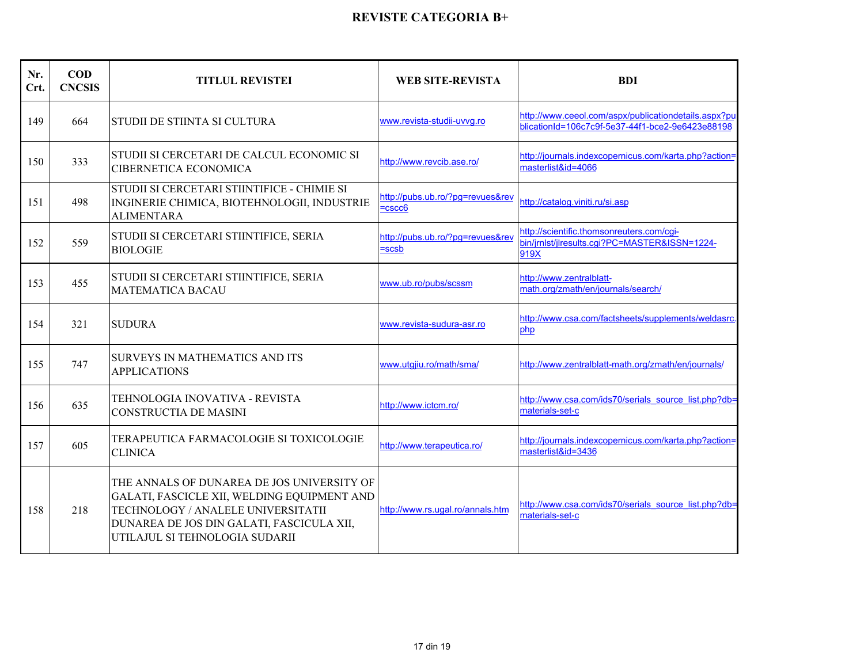| Nr.<br>Crt. | <b>COD</b><br><b>CNCSIS</b> | <b>TITLUL REVISTEI</b>                                                                                                                                                                                         | <b>WEB SITE-REVISTA</b>                      | <b>BDI</b>                                                                                               |
|-------------|-----------------------------|----------------------------------------------------------------------------------------------------------------------------------------------------------------------------------------------------------------|----------------------------------------------|----------------------------------------------------------------------------------------------------------|
| 149         | 664                         | STUDII DE STIINTA SI CULTURA                                                                                                                                                                                   | www.revista-studii-uvvq.ro                   | http://www.ceeol.com/aspx/publicationdetails.aspx?pu<br>blicationId=106c7c9f-5e37-44f1-bce2-9e6423e88198 |
| 150         | 333                         | STUDII SI CERCETARI DE CALCUL ECONOMIC SI<br>CIBERNETICA ECONOMICA                                                                                                                                             | http://www.revcib.ase.ro/                    | http://journals.indexcopernicus.com/karta.php?action=<br>masterlist&id=4066                              |
| 151         | 498                         | STUDII SI CERCETARI STIINTIFICE - CHIMIE SI<br>INGINERIE CHIMICA, BIOTEHNOLOGII, INDUSTRIE<br><b>ALIMENTARA</b>                                                                                                | http://pubs.ub.ro/?pg=revues&rev<br>$=cscc6$ | http://catalog.viniti.ru/si.asp                                                                          |
| 152         | 559                         | STUDII SI CERCETARI STIINTIFICE, SERIA<br><b>BIOLOGIE</b>                                                                                                                                                      | http://pubs.ub.ro/?pg=revues&rev<br>$=$ scsb | http://scientific.thomsonreuters.com/cgi-<br>bin/jrnlst/jlresults.cgi?PC=MASTER&ISSN=1224-<br>919X       |
| 153         | 455                         | STUDII SI CERCETARI STIINTIFICE, SERIA<br><b>MATEMATICA BACAU</b>                                                                                                                                              | www.ub.ro/pubs/scssm                         | http://www.zentralblatt-<br>math.org/zmath/en/journals/search/                                           |
| 154         | 321                         | <b>SUDURA</b>                                                                                                                                                                                                  | www.revista-sudura-asr.ro                    | http://www.csa.com/factsheets/supplements/weldasrc.<br>php                                               |
| 155         | 747                         | SURVEYS IN MATHEMATICS AND ITS<br><b>APPLICATIONS</b>                                                                                                                                                          | www.utgjiu.ro/math/sma/                      | http://www.zentralblatt-math.org/zmath/en/journals/                                                      |
| 156         | 635                         | TEHNOLOGIA INOVATIVA - REVISTA<br><b>CONSTRUCTIA DE MASINI</b>                                                                                                                                                 | http://www.ictcm.ro/                         | http://www.csa.com/ids70/serials_source_list.php?db=<br>materials-set-c                                  |
| 157         | 605                         | TERAPEUTICA FARMACOLOGIE SI TOXICOLOGIE<br><b>CLINICA</b>                                                                                                                                                      | http://www.terapeutica.ro/                   | http://journals.indexcopernicus.com/karta.php?action=<br>masterlist&id=3436                              |
| 158         | 218                         | THE ANNALS OF DUNAREA DE JOS UNIVERSITY OF<br>GALATI, FASCICLE XII, WELDING EQUIPMENT AND<br>TECHNOLOGY / ANALELE UNIVERSITATII<br>DUNAREA DE JOS DIN GALATI, FASCICULA XII,<br>UTILAJUL SI TEHNOLOGIA SUDARII | http://www.rs.ugal.ro/annals.htm             | http://www.csa.com/ids70/serials_source_list.php?db=<br>materials-set-c                                  |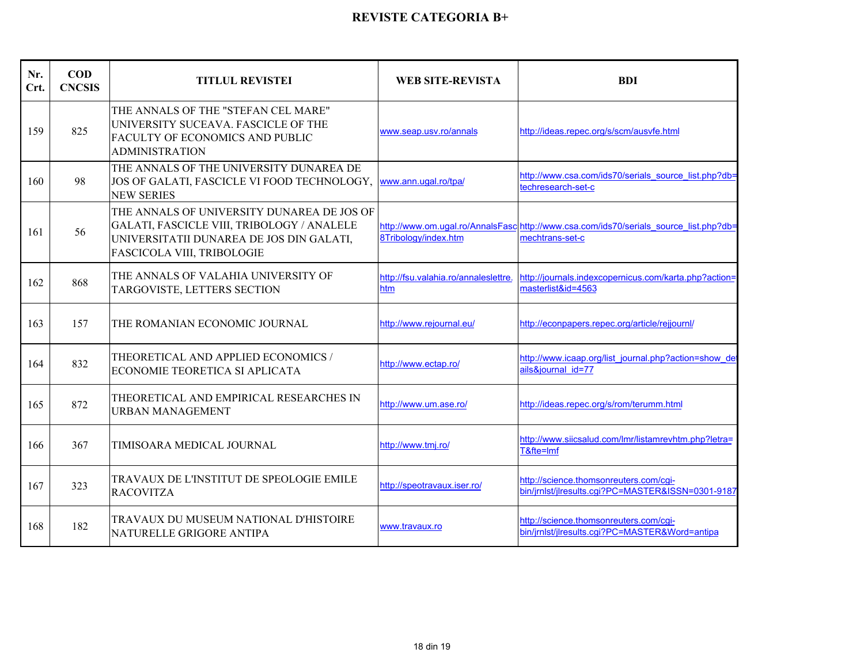| Nr.<br>Crt. | <b>COD</b><br><b>CNCSIS</b> | <b>TITLUL REVISTEI</b>                                                                                                                                             | <b>WEB SITE-REVISTA</b>                     | <b>BDI</b>                                                                                               |
|-------------|-----------------------------|--------------------------------------------------------------------------------------------------------------------------------------------------------------------|---------------------------------------------|----------------------------------------------------------------------------------------------------------|
| 159         | 825                         | THE ANNALS OF THE "STEFAN CEL MARE"<br>UNIVERSITY SUCEAVA. FASCICLE OF THE<br>FACULTY OF ECONOMICS AND PUBLIC<br><b>ADMINISTRATION</b>                             | www.seap.usv.ro/annals                      | http://ideas.repec.org/s/scm/ausvfe.html                                                                 |
| 160         | 98                          | THE ANNALS OF THE UNIVERSITY DUNAREA DE<br>JOS OF GALATI, FASCICLE VI FOOD TECHNOLOGY,<br><b>NEW SERIES</b>                                                        | www.ann.ugal.ro/tpa/                        | http://www.csa.com/ids70/serials_source_list.php?db=<br>techresearch-set-c                               |
| 161         | 56                          | THE ANNALS OF UNIVERSITY DUNAREA DE JOS OF<br>GALATI, FASCICLE VIII, TRIBOLOGY / ANALELE<br>UNIVERSITATII DUNAREA DE JOS DIN GALATI,<br>FASCICOLA VIII, TRIBOLOGIE | 8Tribology/index.htm                        | http://www.om.ugal.ro/AnnalsFasc http://www.csa.com/ids70/serials_source_list.php?db=<br>mechtrans-set-c |
| 162         | 868                         | THE ANNALS OF VALAHIA UNIVERSITY OF<br>TARGOVISTE, LETTERS SECTION                                                                                                 | http://fsu.valahia.ro/annaleslettre.<br>htm | http://journals.indexcopernicus.com/karta.php?action=<br>masterlist&id=4563                              |
| 163         | 157                         | THE ROMANIAN ECONOMIC JOURNAL                                                                                                                                      | http://www.rejournal.eu/                    | http://econpapers.repec.org/article/rejjournl/                                                           |
| 164         | 832                         | THEORETICAL AND APPLIED ECONOMICS /<br>ECONOMIE TEORETICA SI APLICATA                                                                                              | http://www.ectap.ro/                        | http://www.icaap.org/list_journal.php?action=show_de<br>ails&journal id=77                               |
| 165         | 872                         | THEORETICAL AND EMPIRICAL RESEARCHES IN<br><b>URBAN MANAGEMENT</b>                                                                                                 | http://www.um.ase.ro/                       | http://ideas.repec.org/s/rom/terumm.html                                                                 |
| 166         | 367                         | TIMISOARA MEDICAL JOURNAL                                                                                                                                          | http://www.tmj.ro/                          | http://www.siicsalud.com/lmr/listamrevhtm.php?letra=<br>T&fte=Imf                                        |
| 167         | 323                         | TRAVAUX DE L'INSTITUT DE SPEOLOGIE EMILE<br><b>RACOVITZA</b>                                                                                                       | http://speotravaux.iser.ro/                 | http://science.thomsonreuters.com/cgi-<br>bin/jrnlst/jlresults.cqi?PC=MASTER&ISSN=0301-9187              |
| 168         | 182                         | TRAVAUX DU MUSEUM NATIONAL D'HISTOIRE<br>NATURELLE GRIGORE ANTIPA                                                                                                  | www.travaux.ro                              | http://science.thomsonreuters.com/cgi-<br>bin/jrnlst/jlresults.cgi?PC=MASTER&Word=antipa                 |